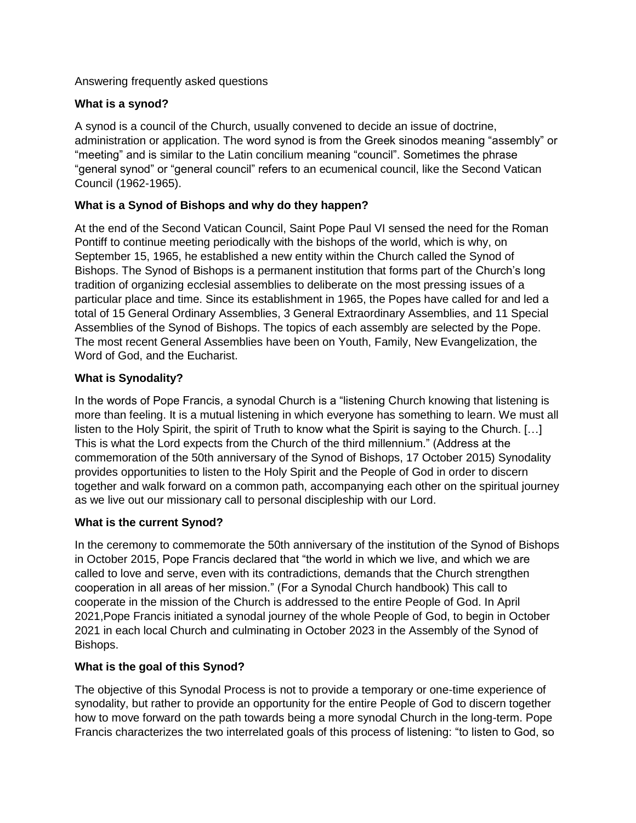Answering frequently asked questions

### **What is a synod?**

A synod is a council of the Church, usually convened to decide an issue of doctrine, administration or application. The word synod is from the Greek sinodos meaning "assembly" or "meeting" and is similar to the Latin concilium meaning "council". Sometimes the phrase "general synod" or "general council" refers to an ecumenical council, like the Second Vatican Council (1962-1965).

## **What is a Synod of Bishops and why do they happen?**

At the end of the Second Vatican Council, Saint Pope Paul VI sensed the need for the Roman Pontiff to continue meeting periodically with the bishops of the world, which is why, on September 15, 1965, he established a new entity within the Church called the Synod of Bishops. The Synod of Bishops is a permanent institution that forms part of the Church's long tradition of organizing ecclesial assemblies to deliberate on the most pressing issues of a particular place and time. Since its establishment in 1965, the Popes have called for and led a total of 15 General Ordinary Assemblies, 3 General Extraordinary Assemblies, and 11 Special Assemblies of the Synod of Bishops. The topics of each assembly are selected by the Pope. The most recent General Assemblies have been on Youth, Family, New Evangelization, the Word of God, and the Eucharist.

# **What is Synodality?**

In the words of Pope Francis, a synodal Church is a "listening Church knowing that listening is more than feeling. It is a mutual listening in which everyone has something to learn. We must all listen to the Holy Spirit, the spirit of Truth to know what the Spirit is saying to the Church. […] This is what the Lord expects from the Church of the third millennium." (Address at the commemoration of the 50th anniversary of the Synod of Bishops, 17 October 2015) Synodality provides opportunities to listen to the Holy Spirit and the People of God in order to discern together and walk forward on a common path, accompanying each other on the spiritual journey as we live out our missionary call to personal discipleship with our Lord.

### **What is the current Synod?**

In the ceremony to commemorate the 50th anniversary of the institution of the Synod of Bishops in October 2015, Pope Francis declared that "the world in which we live, and which we are called to love and serve, even with its contradictions, demands that the Church strengthen cooperation in all areas of her mission." (For a Synodal Church handbook) This call to cooperate in the mission of the Church is addressed to the entire People of God. In April 2021,Pope Francis initiated a synodal journey of the whole People of God, to begin in October 2021 in each local Church and culminating in October 2023 in the Assembly of the Synod of Bishops.

### **What is the goal of this Synod?**

The objective of this Synodal Process is not to provide a temporary or one-time experience of synodality, but rather to provide an opportunity for the entire People of God to discern together how to move forward on the path towards being a more synodal Church in the long-term. Pope Francis characterizes the two interrelated goals of this process of listening: "to listen to God, so